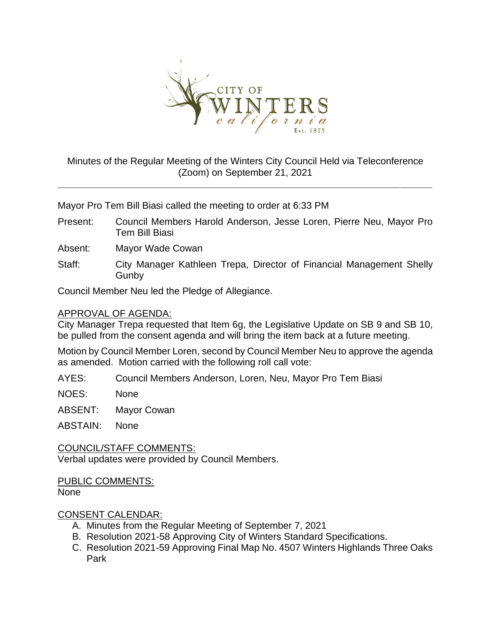

# Minutes of the Regular Meeting of the Winters City Council Held via Teleconference (Zoom) on September 21, 2021

**\_\_\_\_\_\_\_\_\_\_\_\_\_\_\_\_\_\_\_\_\_\_\_\_\_\_\_\_\_\_\_\_\_\_\_\_\_\_\_\_\_\_\_\_\_\_\_\_\_\_\_\_\_\_\_\_\_\_\_\_\_\_\_\_\_\_\_\_\_\_**

Mayor Pro Tem Bill Biasi called the meeting to order at 6:33 PM

Present: Council Members Harold Anderson, Jesse Loren, Pierre Neu, Mayor Pro Tem Bill Biasi

Absent: Mayor Wade Cowan

Staff: City Manager Kathleen Trepa, Director of Financial Management Shelly **Gunby** 

Council Member Neu led the Pledge of Allegiance.

#### APPROVAL OF AGENDA:

City Manager Trepa requested that Item 6g, the Legislative Update on SB 9 and SB 10, be pulled from the consent agenda and will bring the item back at a future meeting.

Motion by Council Member Loren, second by Council Member Neu to approve the agenda as amended. Motion carried with the following roll call vote:

AYES: Council Members Anderson, Loren, Neu, Mayor Pro Tem Biasi

NOES: None

ABSENT: Mayor Cowan

ABSTAIN: None

COUNCIL/STAFF COMMENTS: Verbal updates were provided by Council Members.

PUBLIC COMMENTS: None

## CONSENT CALENDAR:

- A. Minutes from the Regular Meeting of September 7, 2021
- B. Resolution 2021-58 Approving City of Winters Standard Specifications.
- C. Resolution 2021-59 Approving Final Map No. 4507 Winters Highlands Three Oaks Park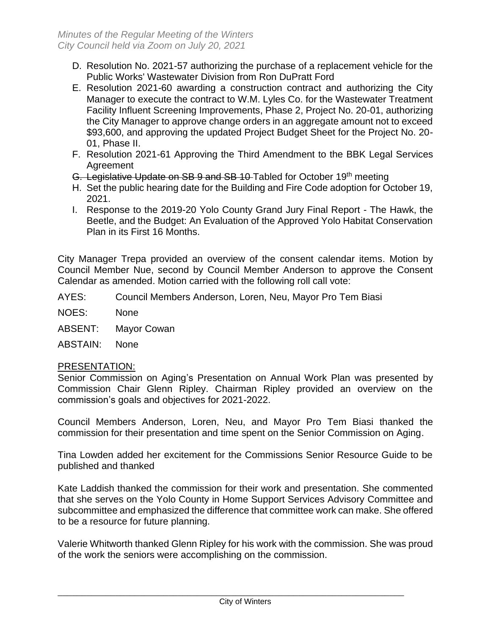- D. Resolution No. 2021-57 authorizing the purchase of a replacement vehicle for the Public Works' Wastewater Division from Ron DuPratt Ford
- E. Resolution 2021-60 awarding a construction contract and authorizing the City Manager to execute the contract to W.M. Lyles Co. for the Wastewater Treatment Facility Influent Screening Improvements, Phase 2, Project No. 20-01, authorizing the City Manager to approve change orders in an aggregate amount not to exceed \$93,600, and approving the updated Project Budget Sheet for the Project No. 20- 01, Phase II.
- F. Resolution 2021-61 Approving the Third Amendment to the BBK Legal Services **Agreement**
- G. Legislative Update on SB 9 and SB 10 Tabled for October 19th meeting
- H. Set the public hearing date for the Building and Fire Code adoption for October 19, 2021.
- I. Response to the 2019-20 Yolo County Grand Jury Final Report The Hawk, the Beetle, and the Budget: An Evaluation of the Approved Yolo Habitat Conservation Plan in its First 16 Months.

City Manager Trepa provided an overview of the consent calendar items. Motion by Council Member Nue, second by Council Member Anderson to approve the Consent Calendar as amended. Motion carried with the following roll call vote:

- AYES: Council Members Anderson, Loren, Neu, Mayor Pro Tem Biasi
- NOES: None
- ABSENT: Mayor Cowan

ABSTAIN: None

## PRESENTATION:

Senior Commission on Aging's Presentation on Annual Work Plan was presented by Commission Chair Glenn Ripley. Chairman Ripley provided an overview on the commission's goals and objectives for 2021-2022.

Council Members Anderson, Loren, Neu, and Mayor Pro Tem Biasi thanked the commission for their presentation and time spent on the Senior Commission on Aging.

Tina Lowden added her excitement for the Commissions Senior Resource Guide to be published and thanked

Kate Laddish thanked the commission for their work and presentation. She commented that she serves on the Yolo County in Home Support Services Advisory Committee and subcommittee and emphasized the difference that committee work can make. She offered to be a resource for future planning.

Valerie Whitworth thanked Glenn Ripley for his work with the commission. She was proud of the work the seniors were accomplishing on the commission.

\_\_\_\_\_\_\_\_\_\_\_\_\_\_\_\_\_\_\_\_\_\_\_\_\_\_\_\_\_\_\_\_\_\_\_\_\_\_\_\_\_\_\_\_\_\_\_\_\_\_\_\_\_\_\_\_\_\_\_\_\_\_\_\_\_\_\_\_\_\_\_\_